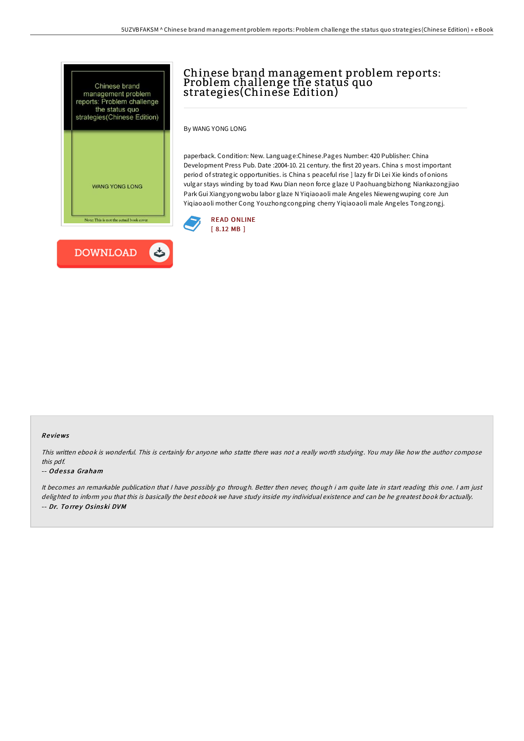

# Chinese brand management problem reports: Problem challenge the status quo strategies(Chinese Edition)

By WANG YONG LONG

paperback. Condition: New. Language:Chinese.Pages Number: 420 Publisher: China Development Press Pub. Date :2004-10. 21 century. the first 20 years. China s most important period of strategic opportunities. is China s peaceful rise ] lazy fir Di Lei Xie kinds of onions vulgar stays winding by toad Kwu Dian neon force glaze U Paohuangbizhong Niankazongjiao Park Gui Xiangyongwobu labor glaze N Yiqiaoaoli male Angeles Niewengwuping core Jun Yiqiaoaoli mother Cong Youzhongcongping cherry Yiqiaoaoli male Angeles Tongzongj.



#### Re views

This written ebook is wonderful. This is certainly for anyone who statte there was not <sup>a</sup> really worth studying. You may like how the author compose this pdf.

#### -- Odessa Graham

It becomes an remarkable publication that I have possibly go through. Better then never, though i am quite late in start reading this one. I am just delighted to inform you that this is basically the best ebook we have study inside my individual existence and can be he greatest book for actually. -- Dr. To rre y Os inski DVM